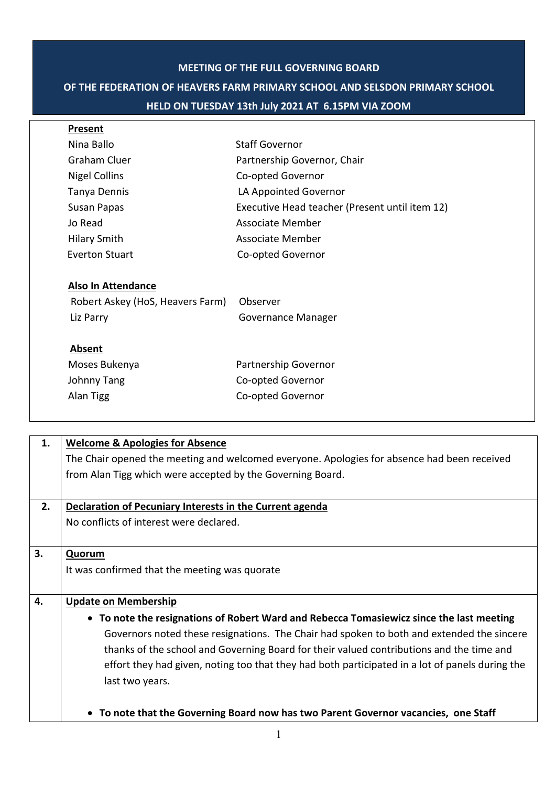### **MEETING OF THE FULL GOVERNING BOARD**

# **OF THE FEDERATION OF HEAVERS FARM PRIMARY SCHOOL AND SELSDON PRIMARY SCHOOL**

### **HELD ON TUESDAY 13th July 2021 AT 6.15PM VIA ZOOM**

| Present                          |                                                |
|----------------------------------|------------------------------------------------|
| Nina Ballo                       | <b>Staff Governor</b>                          |
| <b>Graham Cluer</b>              | Partnership Governor, Chair                    |
| <b>Nigel Collins</b>             | Co-opted Governor                              |
| Tanya Dennis                     | LA Appointed Governor                          |
| Susan Papas                      | Executive Head teacher (Present until item 12) |
| Jo Read                          | Associate Member                               |
| <b>Hilary Smith</b>              | Associate Member                               |
| <b>Everton Stuart</b>            | Co-opted Governor                              |
| <b>Also In Attendance</b>        |                                                |
| Robert Askey (HoS, Heavers Farm) | Observer                                       |
| Liz Parry                        | Governance Manager                             |
| Absent                           |                                                |
| Moses Bukenya                    | Partnership Governor                           |
| Johnny Tang                      | Co-opted Governor                              |
| Alan Tigg                        | Co-opted Governor                              |
|                                  |                                                |

| 1. | <b>Welcome &amp; Apologies for Absence</b>                                                      |  |
|----|-------------------------------------------------------------------------------------------------|--|
|    | The Chair opened the meeting and welcomed everyone. Apologies for absence had been received     |  |
|    | from Alan Tigg which were accepted by the Governing Board.                                      |  |
|    |                                                                                                 |  |
| 2. | Declaration of Pecuniary Interests in the Current agenda                                        |  |
|    | No conflicts of interest were declared.                                                         |  |
|    |                                                                                                 |  |
| 3. | Quorum                                                                                          |  |
|    | It was confirmed that the meeting was quorate                                                   |  |
|    |                                                                                                 |  |
| 4. | <b>Update on Membership</b>                                                                     |  |
|    | • To note the resignations of Robert Ward and Rebecca Tomasiewicz since the last meeting        |  |
|    | Governors noted these resignations. The Chair had spoken to both and extended the sincere       |  |
|    | thanks of the school and Governing Board for their valued contributions and the time and        |  |
|    | effort they had given, noting too that they had both participated in a lot of panels during the |  |
|    | last two years.                                                                                 |  |
|    |                                                                                                 |  |
|    |                                                                                                 |  |
|    | • To note that the Governing Board now has two Parent Governor vacancies, one Staff             |  |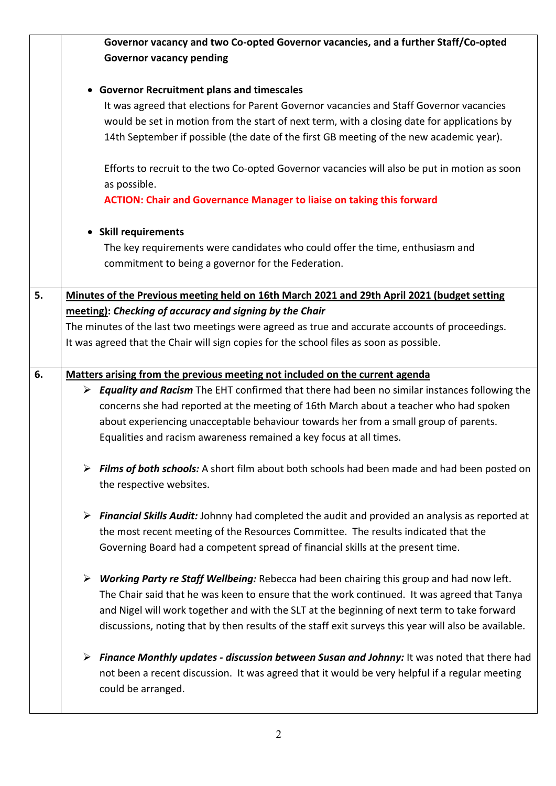|    | Governor vacancy and two Co-opted Governor vacancies, and a further Staff/Co-opted                                   |  |
|----|----------------------------------------------------------------------------------------------------------------------|--|
|    | <b>Governor vacancy pending</b>                                                                                      |  |
|    |                                                                                                                      |  |
|    | • Governor Recruitment plans and timescales                                                                          |  |
|    | It was agreed that elections for Parent Governor vacancies and Staff Governor vacancies                              |  |
|    | would be set in motion from the start of next term, with a closing date for applications by                          |  |
|    | 14th September if possible (the date of the first GB meeting of the new academic year).                              |  |
|    |                                                                                                                      |  |
|    | Efforts to recruit to the two Co-opted Governor vacancies will also be put in motion as soon                         |  |
|    | as possible.                                                                                                         |  |
|    | <b>ACTION: Chair and Governance Manager to liaise on taking this forward</b>                                         |  |
|    | • Skill requirements                                                                                                 |  |
|    | The key requirements were candidates who could offer the time, enthusiasm and                                        |  |
|    | commitment to being a governor for the Federation.                                                                   |  |
|    |                                                                                                                      |  |
| 5. | Minutes of the Previous meeting held on 16th March 2021 and 29th April 2021 (budget setting                          |  |
|    | meeting): Checking of accuracy and signing by the Chair                                                              |  |
|    | The minutes of the last two meetings were agreed as true and accurate accounts of proceedings.                       |  |
|    | It was agreed that the Chair will sign copies for the school files as soon as possible.                              |  |
|    |                                                                                                                      |  |
| 6. | Matters arising from the previous meeting not included on the current agenda                                         |  |
|    | $\triangleright$ <b>Equality and Racism</b> The EHT confirmed that there had been no similar instances following the |  |
|    | concerns she had reported at the meeting of 16th March about a teacher who had spoken                                |  |
|    | about experiencing unacceptable behaviour towards her from a small group of parents.                                 |  |
|    | Equalities and racism awareness remained a key focus at all times.                                                   |  |
|    | Films of both schools: A short film about both schools had been made and had been posted on                          |  |
|    | the respective websites.                                                                                             |  |
|    |                                                                                                                      |  |
|    | <b>Financial Skills Audit:</b> Johnny had completed the audit and provided an analysis as reported at<br>➤           |  |
|    | the most recent meeting of the Resources Committee. The results indicated that the                                   |  |
|    | Governing Board had a competent spread of financial skills at the present time.                                      |  |
|    | Working Party re Staff Wellbeing: Rebecca had been chairing this group and had now left.                             |  |
|    | The Chair said that he was keen to ensure that the work continued. It was agreed that Tanya                          |  |
|    | and Nigel will work together and with the SLT at the beginning of next term to take forward                          |  |
|    | discussions, noting that by then results of the staff exit surveys this year will also be available.                 |  |
|    | Finance Monthly updates - discussion between Susan and Johnny: It was noted that there had<br>➤                      |  |
|    | not been a recent discussion. It was agreed that it would be very helpful if a regular meeting                       |  |
|    | could be arranged.                                                                                                   |  |
|    |                                                                                                                      |  |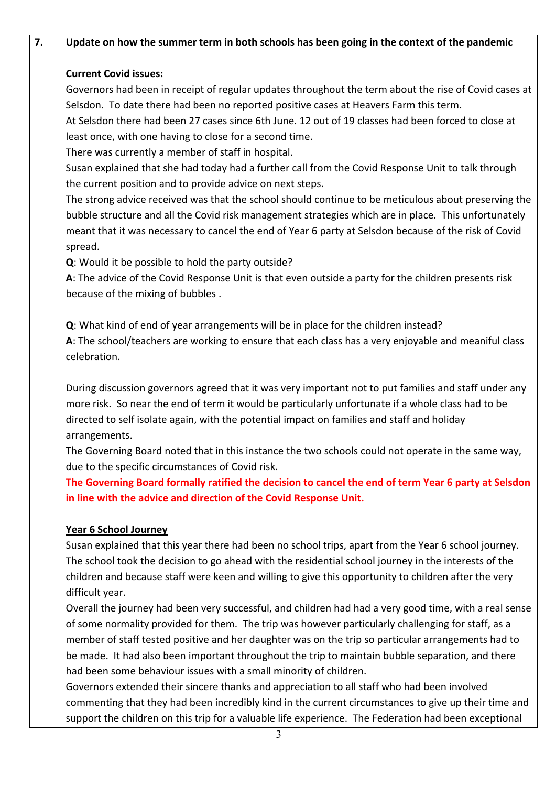| Update on how the summer term in both schools has been going in the context of the pandemic            |
|--------------------------------------------------------------------------------------------------------|
| <b>Current Covid issues:</b>                                                                           |
| Governors had been in receipt of regular updates throughout the term about the rise of Covid cases at  |
| Selsdon. To date there had been no reported positive cases at Heavers Farm this term.                  |
| At Selsdon there had been 27 cases since 6th June. 12 out of 19 classes had been forced to close at    |
| least once, with one having to close for a second time.                                                |
| There was currently a member of staff in hospital.                                                     |
| Susan explained that she had today had a further call from the Covid Response Unit to talk through     |
| the current position and to provide advice on next steps.                                              |
| The strong advice received was that the school should continue to be meticulous about preserving the   |
| bubble structure and all the Covid risk management strategies which are in place. This unfortunately   |
| meant that it was necessary to cancel the end of Year 6 party at Selsdon because of the risk of Covid  |
| spread.                                                                                                |
| Q: Would it be possible to hold the party outside?                                                     |
| A: The advice of the Covid Response Unit is that even outside a party for the children presents risk   |
| because of the mixing of bubbles.                                                                      |
| Q: What kind of end of year arrangements will be in place for the children instead?                    |
| A: The school/teachers are working to ensure that each class has a very enjoyable and meaniful class   |
| celebration.                                                                                           |
| During discussion governors agreed that it was very important not to put families and staff under any  |
| more risk. So near the end of term it would be particularly unfortunate if a whole class had to be     |
| directed to self isolate again, with the potential impact on families and staff and holiday            |
| arrangements.                                                                                          |
| The Governing Board noted that in this instance the two schools could not operate in the same way,     |
| due to the specific circumstances of Covid risk.                                                       |
| The Governing Board formally ratified the decision to cancel the end of term Year 6 party at Selsdon   |
| in line with the advice and direction of the Covid Response Unit.                                      |
| <b>Year 6 School Journey</b>                                                                           |
| Susan explained that this year there had been no school trips, apart from the Year 6 school journey.   |
| The school took the decision to go ahead with the residential school journey in the interests of the   |
| children and because staff were keen and willing to give this opportunity to children after the very   |
| difficult year.                                                                                        |
| Overall the journey had been very successful, and children had had a very good time, with a real sense |
| of some normality provided for them. The trip was however particularly challenging for staff, as a     |
| member of staff tested positive and her daughter was on the trip so particular arrangements had to     |
| be made. It had also been important throughout the trip to maintain bubble separation, and there       |
| had been some behaviour issues with a small minority of children.                                      |
| Governors extended their sincere thanks and appreciation to all staff who had been involved            |
| commenting that they had been incredibly kind in the current circumstances to give up their time and   |
| support the children on this trip for a valuable life experience. The Federation had been exceptional  |
| 3                                                                                                      |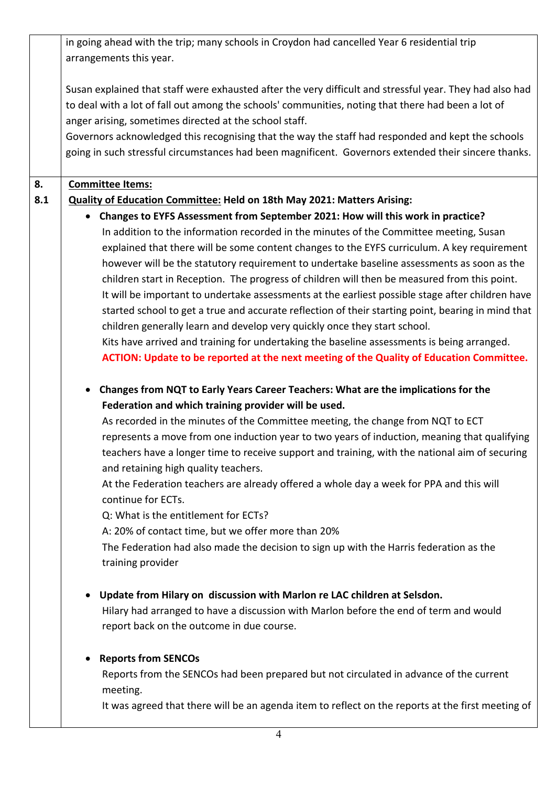in going ahead with the trip; many schools in Croydon had cancelled Year 6 residential trip arrangements this year.

Susan explained that staff were exhausted after the very difficult and stressful year. They had also had to deal with a lot of fall out among the schools' communities, noting that there had been a lot of anger arising, sometimes directed at the school staff.

Governors acknowledged this recognising that the way the staff had responded and kept the schools going in such stressful circumstances had been magnificent. Governors extended their sincere thanks.

#### **8. Committee Items:**

#### **8.1 Quality of Education Committee: Held on 18th May 2021: Matters Arising:**

• **Changes to EYFS Assessment from September 2021: How will this work in practice?** In addition to the information recorded in the minutes of the Committee meeting, Susan explained that there will be some content changes to the EYFS curriculum. A key requirement however will be the statutory requirement to undertake baseline assessments as soon as the children start in Reception. The progress of children will then be measured from this point. It will be important to undertake assessments at the earliest possible stage after children have started school to get a true and accurate reflection of their starting point, bearing in mind that children generally learn and develop very quickly once they start school.

Kits have arrived and training for undertaking the baseline assessments is being arranged. **ACTION: Update to be reported at the next meeting of the Quality of Education Committee.**

• **Changes from NQT to Early Years Career Teachers: What are the implications for the Federation and which training provider will be used.**

As recorded in the minutes of the Committee meeting, the change from NQT to ECT represents a move from one induction year to two years of induction, meaning that qualifying teachers have a longer time to receive support and training, with the national aim of securing and retaining high quality teachers.

At the Federation teachers are already offered a whole day a week for PPA and this will continue for ECTs.

Q: What is the entitlement for ECTs?

A: 20% of contact time, but we offer more than 20%

The Federation had also made the decision to sign up with the Harris federation as the training provider

• **Update from Hilary on discussion with Marlon re LAC children at Selsdon.**

Hilary had arranged to have a discussion with Marlon before the end of term and would report back on the outcome in due course.

# • **Reports from SENCOs**

Reports from the SENCOs had been prepared but not circulated in advance of the current meeting.

It was agreed that there will be an agenda item to reflect on the reports at the first meeting of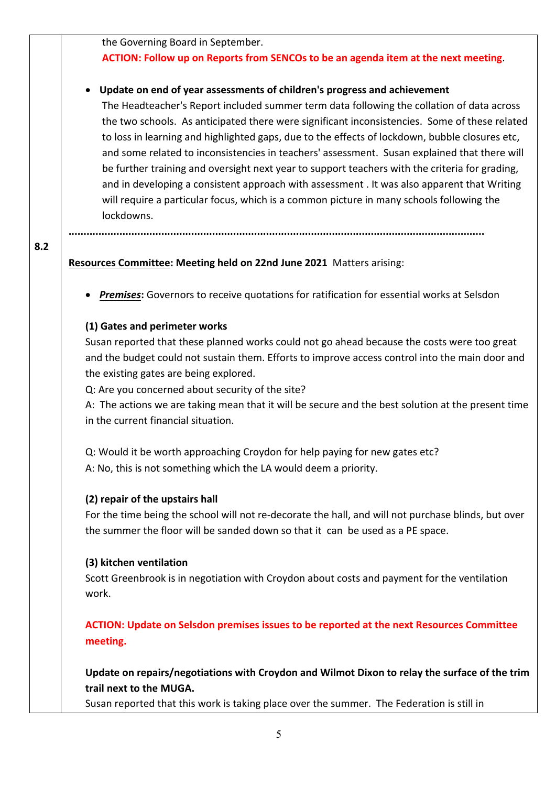the Governing Board in September.

# **ACTION: Follow up on Reports from SENCOs to be an agenda item at the next meeting**.

# • **Update on end of year assessments of children's progress and achievement**

The Headteacher's Report included summer term data following the collation of data across the two schools. As anticipated there were significant inconsistencies. Some of these related to loss in learning and highlighted gaps, due to the effects of lockdown, bubble closures etc, and some related to inconsistencies in teachers' assessment. Susan explained that there will be further training and oversight next year to support teachers with the criteria for grading, and in developing a consistent approach with assessment . It was also apparent that Writing will require a particular focus, which is a common picture in many schools following the lockdowns.

### **...........................................................................................................................................**

# **Resources Committee: Meeting held on 22nd June 2021** Matters arising:

• *Premises***:** Governors to receive quotations for ratification for essential works at Selsdon

# **(1) Gates and perimeter works**

**8.2**

Susan reported that these planned works could not go ahead because the costs were too great and the budget could not sustain them. Efforts to improve access control into the main door and the existing gates are being explored.

Q: Are you concerned about security of the site?

A: The actions we are taking mean that it will be secure and the best solution at the present time in the current financial situation.

Q: Would it be worth approaching Croydon for help paying for new gates etc? A: No, this is not something which the LA would deem a priority.

# **(2) repair of the upstairs hall**

For the time being the school will not re-decorate the hall, and will not purchase blinds, but over the summer the floor will be sanded down so that it can be used as a PE space.

# **(3) kitchen ventilation**

Scott Greenbrook is in negotiation with Croydon about costs and payment for the ventilation work.

**ACTION: Update on Selsdon premises issues to be reported at the next Resources Committee meeting.**

**Update on repairs/negotiations with Croydon and Wilmot Dixon to relay the surface of the trim trail next to the MUGA.**

Susan reported that this work is taking place over the summer. The Federation is still in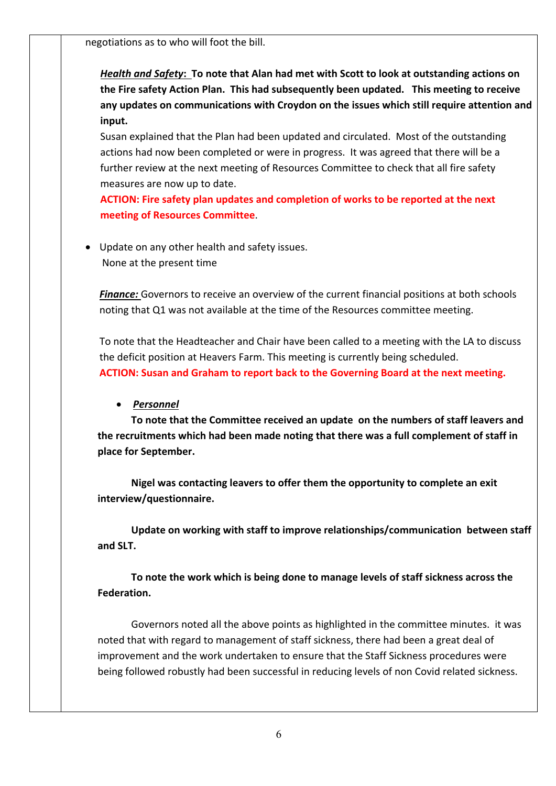negotiations as to who will foot the bill.

*Health and Safety***: To note that Alan had met with Scott to look at outstanding actions on the Fire safety Action Plan. This had subsequently been updated. This meeting to receive any updates on communications with Croydon on the issues which still require attention and input.**

Susan explained that the Plan had been updated and circulated. Most of the outstanding actions had now been completed or were in progress. It was agreed that there will be a further review at the next meeting of Resources Committee to check that all fire safety measures are now up to date.

**ACTION: Fire safety plan updates and completion of works to be reported at the next meeting of Resources Committee**.

• Update on any other health and safety issues. None at the present time

**Finance:** Governors to receive an overview of the current financial positions at both schools noting that Q1 was not available at the time of the Resources committee meeting.

To note that the Headteacher and Chair have been called to a meeting with the LA to discuss the deficit position at Heavers Farm. This meeting is currently being scheduled. **ACTION: Susan and Graham to report back to the Governing Board at the next meeting.**

# • *Personnel*

**To note that the Committee received an update on the numbers of staff leavers and the recruitments which had been made noting that there was a full complement of staff in place for September.**

**Nigel was contacting leavers to offer them the opportunity to complete an exit interview/questionnaire.**

**Update on working with staff to improve relationships/communication between staff and SLT.**

**To note the work which is being done to manage levels of staff sickness across the Federation.**

Governors noted all the above points as highlighted in the committee minutes. it was noted that with regard to management of staff sickness, there had been a great deal of improvement and the work undertaken to ensure that the Staff Sickness procedures were being followed robustly had been successful in reducing levels of non Covid related sickness.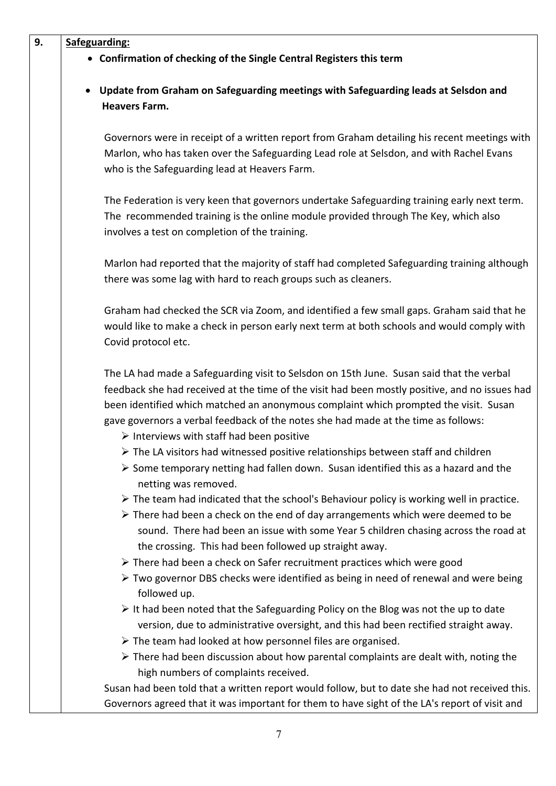| 9. | Safeguarding:                                                                                                                                                                                                                                                                                                                                                                                                                        |  |  |
|----|--------------------------------------------------------------------------------------------------------------------------------------------------------------------------------------------------------------------------------------------------------------------------------------------------------------------------------------------------------------------------------------------------------------------------------------|--|--|
|    | • Confirmation of checking of the Single Central Registers this term                                                                                                                                                                                                                                                                                                                                                                 |  |  |
|    | Update from Graham on Safeguarding meetings with Safeguarding leads at Selsdon and<br>$\bullet$                                                                                                                                                                                                                                                                                                                                      |  |  |
|    | <b>Heavers Farm.</b>                                                                                                                                                                                                                                                                                                                                                                                                                 |  |  |
|    | Governors were in receipt of a written report from Graham detailing his recent meetings with                                                                                                                                                                                                                                                                                                                                         |  |  |
|    | Marlon, who has taken over the Safeguarding Lead role at Selsdon, and with Rachel Evans<br>who is the Safeguarding lead at Heavers Farm.                                                                                                                                                                                                                                                                                             |  |  |
|    | The Federation is very keen that governors undertake Safeguarding training early next term.                                                                                                                                                                                                                                                                                                                                          |  |  |
|    | The recommended training is the online module provided through The Key, which also<br>involves a test on completion of the training.                                                                                                                                                                                                                                                                                                 |  |  |
|    | Marlon had reported that the majority of staff had completed Safeguarding training although<br>there was some lag with hard to reach groups such as cleaners.                                                                                                                                                                                                                                                                        |  |  |
|    | Graham had checked the SCR via Zoom, and identified a few small gaps. Graham said that he<br>would like to make a check in person early next term at both schools and would comply with<br>Covid protocol etc.                                                                                                                                                                                                                       |  |  |
|    | The LA had made a Safeguarding visit to Selsdon on 15th June. Susan said that the verbal<br>feedback she had received at the time of the visit had been mostly positive, and no issues had<br>been identified which matched an anonymous complaint which prompted the visit. Susan<br>gave governors a verbal feedback of the notes she had made at the time as follows:<br>$\triangleright$ Interviews with staff had been positive |  |  |
|    | $\triangleright$ The LA visitors had witnessed positive relationships between staff and children<br>$\triangleright$ Some temporary netting had fallen down. Susan identified this as a hazard and the                                                                                                                                                                                                                               |  |  |
|    | netting was removed.<br>$\triangleright$ The team had indicated that the school's Behaviour policy is working well in practice.<br>$\triangleright$ There had been a check on the end of day arrangements which were deemed to be<br>sound. There had been an issue with some Year 5 children chasing across the road at<br>the crossing. This had been followed up straight away.                                                   |  |  |
|    | $\triangleright$ There had been a check on Safer recruitment practices which were good<br>$\triangleright$ Two governor DBS checks were identified as being in need of renewal and were being<br>followed up.                                                                                                                                                                                                                        |  |  |
|    | $\triangleright$ It had been noted that the Safeguarding Policy on the Blog was not the up to date<br>version, due to administrative oversight, and this had been rectified straight away.                                                                                                                                                                                                                                           |  |  |
|    | $\triangleright$ The team had looked at how personnel files are organised.<br>$\triangleright$ There had been discussion about how parental complaints are dealt with, noting the<br>high numbers of complaints received.                                                                                                                                                                                                            |  |  |
|    | Susan had been told that a written report would follow, but to date she had not received this.<br>Governors agreed that it was important for them to have sight of the LA's report of visit and                                                                                                                                                                                                                                      |  |  |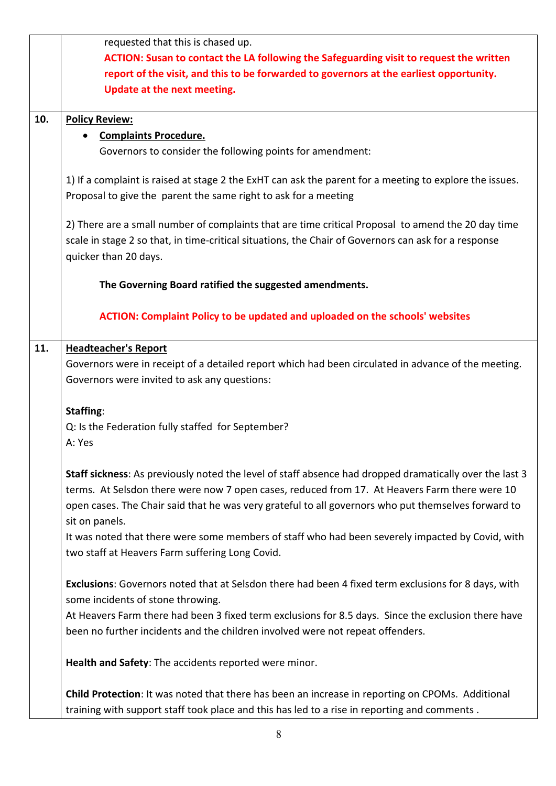|                                                                                                     | requested that this is chased up.                                                                       |  |  |  |
|-----------------------------------------------------------------------------------------------------|---------------------------------------------------------------------------------------------------------|--|--|--|
|                                                                                                     | ACTION: Susan to contact the LA following the Safeguarding visit to request the written                 |  |  |  |
|                                                                                                     | report of the visit, and this to be forwarded to governors at the earliest opportunity.                 |  |  |  |
|                                                                                                     | Update at the next meeting.                                                                             |  |  |  |
|                                                                                                     |                                                                                                         |  |  |  |
| 10.                                                                                                 | <b>Policy Review:</b>                                                                                   |  |  |  |
|                                                                                                     | <b>Complaints Procedure.</b>                                                                            |  |  |  |
|                                                                                                     |                                                                                                         |  |  |  |
|                                                                                                     | Governors to consider the following points for amendment:                                               |  |  |  |
|                                                                                                     | 1) If a complaint is raised at stage 2 the ExHT can ask the parent for a meeting to explore the issues. |  |  |  |
|                                                                                                     | Proposal to give the parent the same right to ask for a meeting                                         |  |  |  |
|                                                                                                     |                                                                                                         |  |  |  |
|                                                                                                     | 2) There are a small number of complaints that are time critical Proposal to amend the 20 day time      |  |  |  |
|                                                                                                     | scale in stage 2 so that, in time-critical situations, the Chair of Governors can ask for a response    |  |  |  |
|                                                                                                     | quicker than 20 days.                                                                                   |  |  |  |
|                                                                                                     |                                                                                                         |  |  |  |
|                                                                                                     | The Governing Board ratified the suggested amendments.                                                  |  |  |  |
|                                                                                                     |                                                                                                         |  |  |  |
|                                                                                                     | <b>ACTION: Complaint Policy to be updated and uploaded on the schools' websites</b>                     |  |  |  |
|                                                                                                     |                                                                                                         |  |  |  |
| 11.                                                                                                 | <b>Headteacher's Report</b>                                                                             |  |  |  |
|                                                                                                     | Governors were in receipt of a detailed report which had been circulated in advance of the meeting.     |  |  |  |
|                                                                                                     |                                                                                                         |  |  |  |
|                                                                                                     | Governors were invited to ask any questions:                                                            |  |  |  |
|                                                                                                     | <b>Staffing:</b>                                                                                        |  |  |  |
|                                                                                                     |                                                                                                         |  |  |  |
|                                                                                                     | Q: Is the Federation fully staffed for September?                                                       |  |  |  |
|                                                                                                     | A: Yes                                                                                                  |  |  |  |
|                                                                                                     |                                                                                                         |  |  |  |
|                                                                                                     | Staff sickness: As previously noted the level of staff absence had dropped dramatically over the last 3 |  |  |  |
|                                                                                                     | terms. At Selsdon there were now 7 open cases, reduced from 17. At Heavers Farm there were 10           |  |  |  |
|                                                                                                     | open cases. The Chair said that he was very grateful to all governors who put themselves forward to     |  |  |  |
|                                                                                                     | sit on panels.                                                                                          |  |  |  |
|                                                                                                     | It was noted that there were some members of staff who had been severely impacted by Covid, with        |  |  |  |
|                                                                                                     | two staff at Heavers Farm suffering Long Covid.                                                         |  |  |  |
|                                                                                                     |                                                                                                         |  |  |  |
| Exclusions: Governors noted that at Selsdon there had been 4 fixed term exclusions for 8 days, with |                                                                                                         |  |  |  |
|                                                                                                     | some incidents of stone throwing.                                                                       |  |  |  |
|                                                                                                     | At Heavers Farm there had been 3 fixed term exclusions for 8.5 days. Since the exclusion there have     |  |  |  |
|                                                                                                     | been no further incidents and the children involved were not repeat offenders.                          |  |  |  |
|                                                                                                     |                                                                                                         |  |  |  |
|                                                                                                     | Health and Safety: The accidents reported were minor.                                                   |  |  |  |
|                                                                                                     |                                                                                                         |  |  |  |
|                                                                                                     | <b>Child Protection:</b> It was noted that there has been an increase in reporting on CPOMs. Additional |  |  |  |
|                                                                                                     | training with support staff took place and this has led to a rise in reporting and comments.            |  |  |  |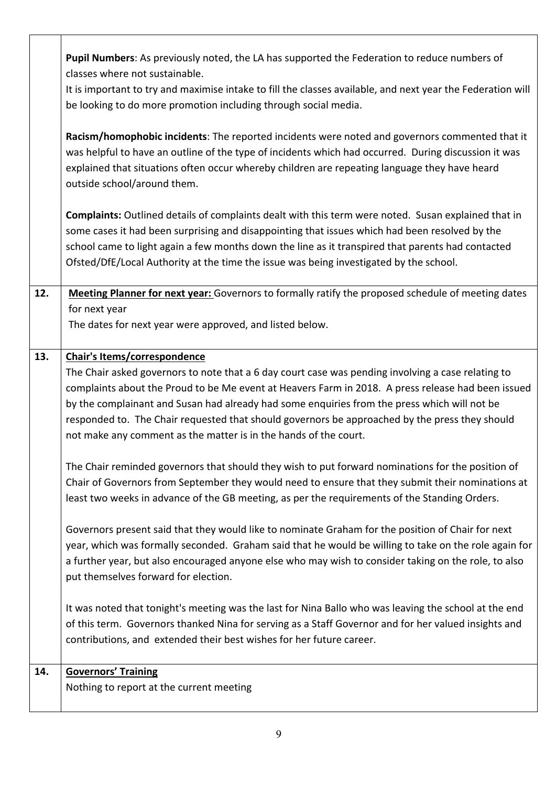|                                                                                                            | Pupil Numbers: As previously noted, the LA has supported the Federation to reduce numbers of                |  |  |
|------------------------------------------------------------------------------------------------------------|-------------------------------------------------------------------------------------------------------------|--|--|
|                                                                                                            | classes where not sustainable.                                                                              |  |  |
|                                                                                                            | It is important to try and maximise intake to fill the classes available, and next year the Federation will |  |  |
|                                                                                                            | be looking to do more promotion including through social media.                                             |  |  |
|                                                                                                            | Racism/homophobic incidents: The reported incidents were noted and governors commented that it              |  |  |
|                                                                                                            | was helpful to have an outline of the type of incidents which had occurred. During discussion it was        |  |  |
|                                                                                                            | explained that situations often occur whereby children are repeating language they have heard               |  |  |
| outside school/around them.                                                                                |                                                                                                             |  |  |
| <b>Complaints:</b> Outlined details of complaints dealt with this term were noted. Susan explained that in |                                                                                                             |  |  |
|                                                                                                            | some cases it had been surprising and disappointing that issues which had been resolved by the              |  |  |
|                                                                                                            | school came to light again a few months down the line as it transpired that parents had contacted           |  |  |
|                                                                                                            | Ofsted/DfE/Local Authority at the time the issue was being investigated by the school.                      |  |  |
| 12.                                                                                                        | Meeting Planner for next year: Governors to formally ratify the proposed schedule of meeting dates          |  |  |
|                                                                                                            | for next year                                                                                               |  |  |
|                                                                                                            | The dates for next year were approved, and listed below.                                                    |  |  |
| 13.                                                                                                        | <b>Chair's Items/correspondence</b>                                                                         |  |  |
|                                                                                                            | The Chair asked governors to note that a 6 day court case was pending involving a case relating to          |  |  |
|                                                                                                            | complaints about the Proud to be Me event at Heavers Farm in 2018. A press release had been issued          |  |  |
|                                                                                                            | by the complainant and Susan had already had some enquiries from the press which will not be                |  |  |
| responded to. The Chair requested that should governors be approached by the press they should             |                                                                                                             |  |  |
|                                                                                                            | not make any comment as the matter is in the hands of the court.                                            |  |  |
|                                                                                                            | The Chair reminded governors that should they wish to put forward nominations for the position of           |  |  |
|                                                                                                            | Chair of Governors from September they would need to ensure that they submit their nominations at           |  |  |
|                                                                                                            | least two weeks in advance of the GB meeting, as per the requirements of the Standing Orders.               |  |  |
|                                                                                                            | Governors present said that they would like to nominate Graham for the position of Chair for next           |  |  |
|                                                                                                            | year, which was formally seconded. Graham said that he would be willing to take on the role again for       |  |  |
|                                                                                                            | a further year, but also encouraged anyone else who may wish to consider taking on the role, to also        |  |  |
|                                                                                                            | put themselves forward for election.                                                                        |  |  |
|                                                                                                            | It was noted that tonight's meeting was the last for Nina Ballo who was leaving the school at the end       |  |  |
|                                                                                                            | of this term. Governors thanked Nina for serving as a Staff Governor and for her valued insights and        |  |  |
|                                                                                                            | contributions, and extended their best wishes for her future career.                                        |  |  |
| 14.                                                                                                        | <b>Governors' Training</b>                                                                                  |  |  |
|                                                                                                            | Nothing to report at the current meeting                                                                    |  |  |
|                                                                                                            |                                                                                                             |  |  |

٦